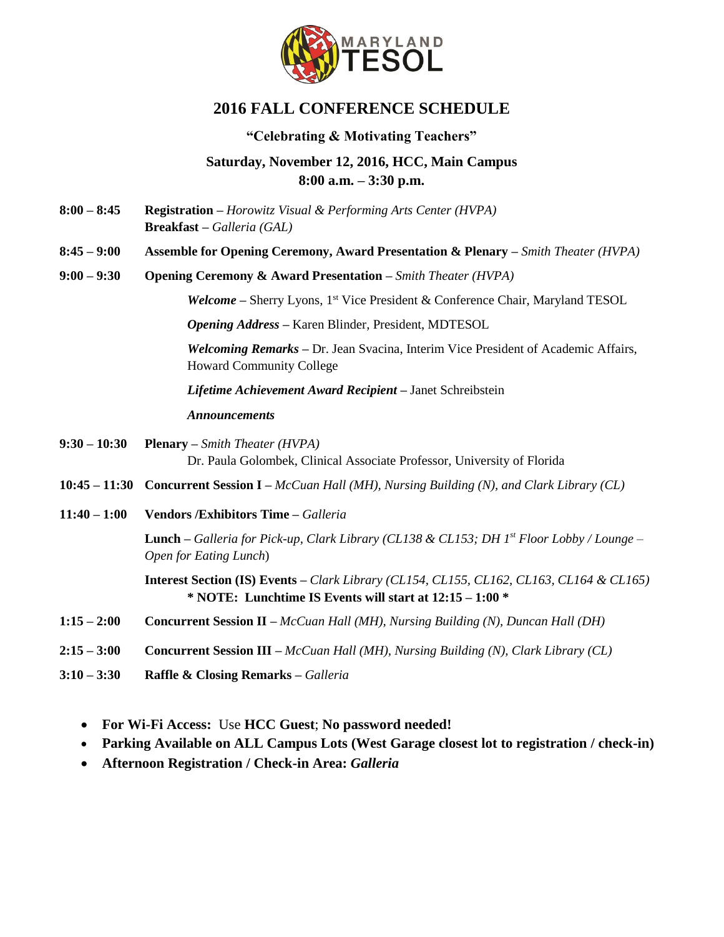

# **2016 FALL CONFERENCE SCHEDULE**

## **"Celebrating & Motivating Teachers"**

# **Saturday, November 12, 2016, HCC, Main Campus 8:00 a.m. – 3:30 p.m.**

- **8:00 – 8:45 Registration –** *Horowitz Visual & Performing Arts Center (HVPA)* **Breakfast –** *Galleria (GAL)*
- **8:45 – 9:00 Assemble for Opening Ceremony, Award Presentation & Plenary –** *Smith Theater (HVPA)*
- **9:00 – 9:30 Opening Ceremony & Award Presentation –** *Smith Theater (HVPA)*

*Welcome* – Sherry Lyons, 1<sup>st</sup> Vice President & Conference Chair, Maryland TESOL

*Opening Address –* Karen Blinder, President, MDTESOL

*Welcoming Remarks –* Dr. Jean Svacina, Interim Vice President of Academic Affairs, Howard Community College

*Lifetime Achievement Award Recipient –* Janet Schreibstein

#### *Announcements*

- **9:30 – 10:30 Plenary –** *Smith Theater (HVPA)* Dr. Paula Golombek, Clinical Associate Professor, University of Florida
- **10:45 – 11:30 Concurrent Session I –** *McCuan Hall (MH), Nursing Building (N), and Clark Library (CL)*
- **11:40 – 1:00 Vendors /Exhibitors Time –** *Galleria*

**Lunch –** *Galleria for Pick-up, Clark Library (CL138 & CL153; DH 1st Floor Lobby / Lounge – Open for Eating Lunch*)

- **1:15 – 2:00 Concurrent Session II –** *McCuan Hall (MH), Nursing Building (N), Duncan Hall (DH)*
- **2:15 – 3:00 Concurrent Session III –** *McCuan Hall (MH), Nursing Building (N), Clark Library (CL)*
- **3:10 – 3:30 Raffle & Closing Remarks –** *Galleria*
	- **For Wi-Fi Access:** Use **HCC Guest**; **No password needed!**
	- **Parking Available on ALL Campus Lots (West Garage closest lot to registration / check-in)**
	- **Afternoon Registration / Check-in Area:** *Galleria*

**Interest Section (IS) Events –** *Clark Library (CL154, CL155, CL162, CL163, CL164 & CL165)* **\* NOTE: Lunchtime IS Events will start at 12:15 – 1:00 \***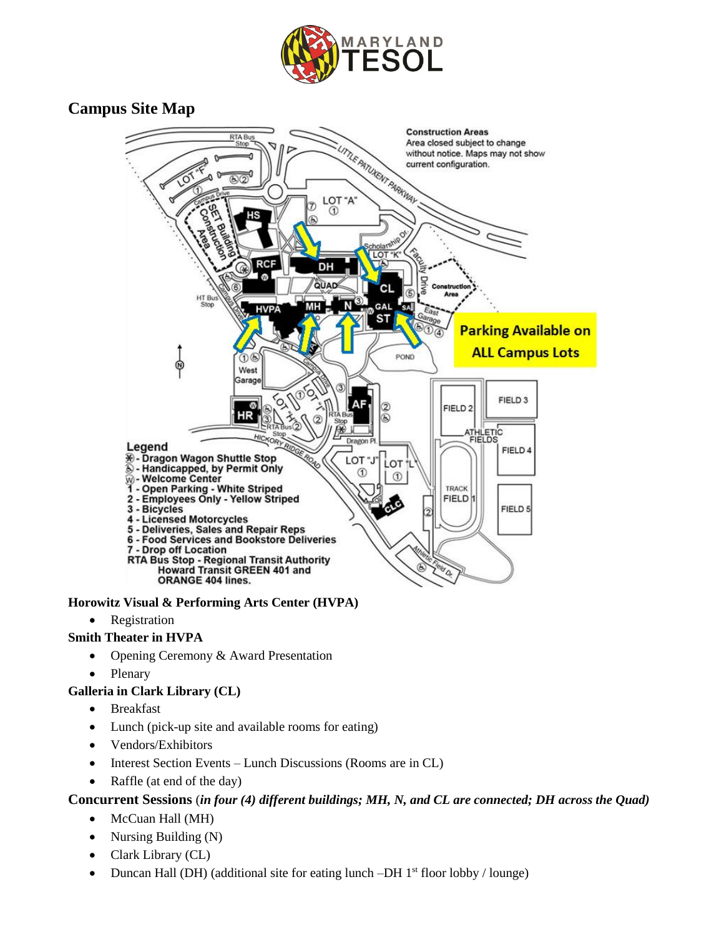

# **Campus Site Map**



## **Horowitz Visual & Performing Arts Center (HVPA)**

• Registration

### **Smith Theater in HVPA**

- Opening Ceremony & Award Presentation
- Plenary

#### **Galleria in Clark Library (CL)**

- Breakfast
- Lunch (pick-up site and available rooms for eating)
- Vendors/Exhibitors
- Interest Section Events Lunch Discussions (Rooms are in CL)
- Raffle (at end of the day)

## **Concurrent Sessions** (*in four (4) different buildings; MH, N, and CL are connected; DH across the Quad)*

- McCuan Hall (MH)
- Nursing Building (N)
- Clark Library (CL)
- Duncan Hall (DH) (additional site for eating lunch  $-DH$  1<sup>st</sup> floor lobby / lounge)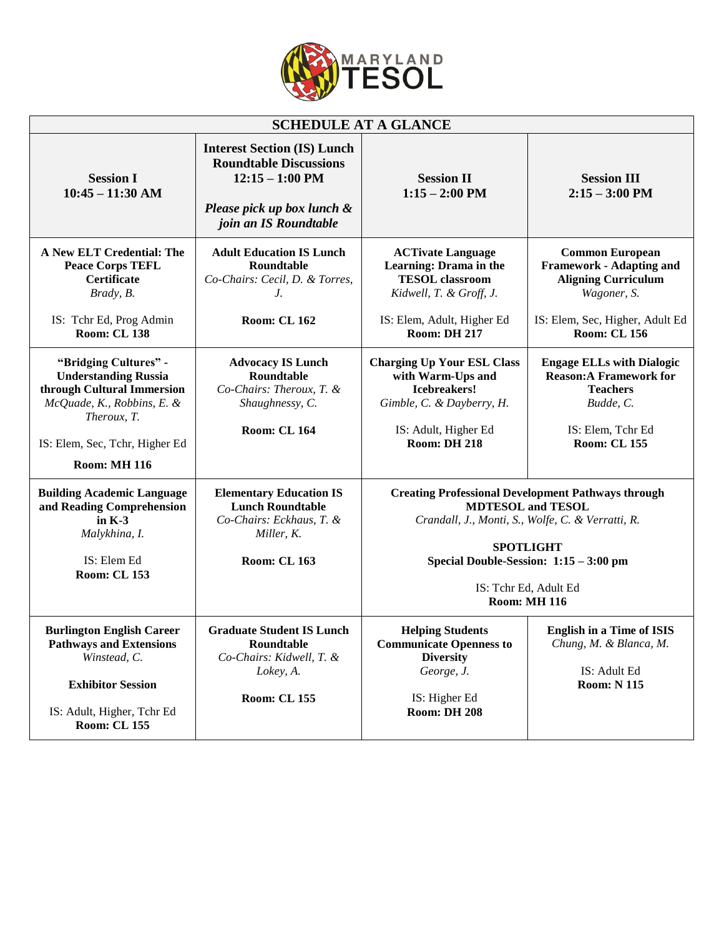

| <b>SCHEDULE AT A GLANCE</b>                                                                                                                                                              |                                                                                                                                                 |                                                                                                                                                                                                                                                          |                                                                                                                                                                  |  |  |
|------------------------------------------------------------------------------------------------------------------------------------------------------------------------------------------|-------------------------------------------------------------------------------------------------------------------------------------------------|----------------------------------------------------------------------------------------------------------------------------------------------------------------------------------------------------------------------------------------------------------|------------------------------------------------------------------------------------------------------------------------------------------------------------------|--|--|
| <b>Session I</b><br>$10:45 - 11:30$ AM                                                                                                                                                   | <b>Interest Section (IS) Lunch</b><br><b>Roundtable Discussions</b><br>$12:15 - 1:00$ PM<br>Please pick up box lunch &<br>join an IS Roundtable | <b>Session II</b><br>$1:15 - 2:00$ PM                                                                                                                                                                                                                    | <b>Session III</b><br>$2:15 - 3:00$ PM                                                                                                                           |  |  |
| A New ELT Credential: The<br><b>Peace Corps TEFL</b><br><b>Certificate</b><br>Brady, B.<br>IS: Tchr Ed, Prog Admin<br><b>Room: CL 138</b>                                                | <b>Adult Education IS Lunch</b><br>Roundtable<br>Co-Chairs: Cecil, D. & Torres,<br>J.<br><b>Room: CL 162</b>                                    | <b>ACTivate Language</b><br>Learning: Drama in the<br><b>TESOL</b> classroom<br>Kidwell, T. & Groff, J.<br>IS: Elem, Adult, Higher Ed<br><b>Room: DH 217</b>                                                                                             | <b>Common European</b><br><b>Framework - Adapting and</b><br><b>Aligning Curriculum</b><br>Wagoner, S.<br>IS: Elem, Sec, Higher, Adult Ed<br><b>Room: CL 156</b> |  |  |
| "Bridging Cultures" -<br><b>Understanding Russia</b><br>through Cultural Immersion<br>McQuade, K., Robbins, E. &<br>Theroux, T.<br>IS: Elem, Sec, Tchr, Higher Ed<br><b>Room: MH 116</b> | <b>Advocacy IS Lunch</b><br>Roundtable<br>Co-Chairs: Theroux, T. &<br>Shaughnessy, C.<br><b>Room: CL 164</b>                                    | <b>Charging Up Your ESL Class</b><br>with Warm-Ups and<br><b>Icebreakers!</b><br>Gimble, C. & Dayberry, H.<br>IS: Adult, Higher Ed<br><b>Room: DH 218</b>                                                                                                | <b>Engage ELLs with Dialogic</b><br><b>Reason:A Framework for</b><br><b>Teachers</b><br>Budde, C.<br>IS: Elem, Tchr Ed<br><b>Room: CL 155</b>                    |  |  |
| <b>Building Academic Language</b><br>and Reading Comprehension<br>in $K-3$<br>Malykhina, I.<br>IS: Elem Ed<br><b>Room: CL 153</b>                                                        | <b>Elementary Education IS</b><br><b>Lunch Roundtable</b><br>Co-Chairs: Eckhaus, T. &<br>Miller, K.<br><b>Room: CL 163</b>                      | <b>Creating Professional Development Pathways through</b><br><b>MDTESOL</b> and TESOL<br>Crandall, J., Monti, S., Wolfe, C. & Verratti, R.<br><b>SPOTLIGHT</b><br>Special Double-Session: 1:15 - 3:00 pm<br>IS: Tchr Ed, Adult Ed<br><b>Room: MH 116</b> |                                                                                                                                                                  |  |  |
| <b>Burlington English Career</b><br><b>Pathways and Extensions</b><br>Winstead, C.<br><b>Exhibitor Session</b><br>IS: Adult, Higher, Tchr Ed<br><b>Room: CL 155</b>                      | <b>Graduate Student IS Lunch</b><br>Roundtable<br>Co-Chairs: Kidwell, T. &<br>Lokey, A.<br><b>Room: CL 155</b>                                  | <b>Helping Students</b><br><b>Communicate Openness to</b><br><b>Diversity</b><br>George, J.<br>IS: Higher Ed<br><b>Room: DH 208</b>                                                                                                                      | <b>English in a Time of ISIS</b><br>Chung, M. & Blanca, M.<br>IS: Adult Ed<br><b>Room: N115</b>                                                                  |  |  |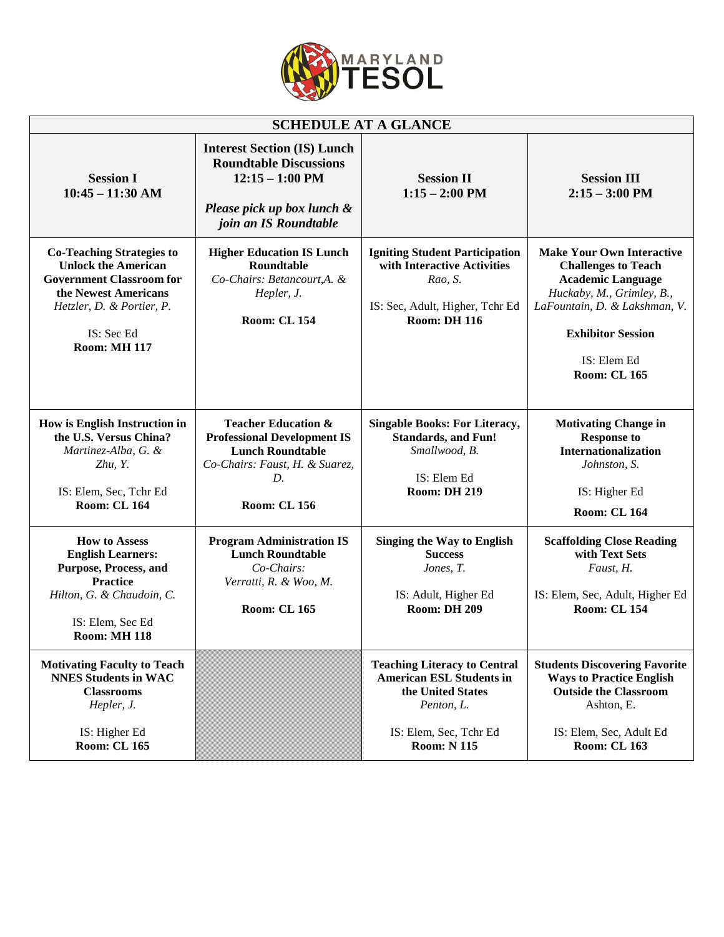

| <b>SCHEDULE AT A GLANCE</b>                                                                                                                                                                 |                                                                                                                                                                |                                                                                                                                                          |                                                                                                                                                                                                                            |  |
|---------------------------------------------------------------------------------------------------------------------------------------------------------------------------------------------|----------------------------------------------------------------------------------------------------------------------------------------------------------------|----------------------------------------------------------------------------------------------------------------------------------------------------------|----------------------------------------------------------------------------------------------------------------------------------------------------------------------------------------------------------------------------|--|
| <b>Session I</b><br>$10:45 - 11:30$ AM                                                                                                                                                      | <b>Interest Section (IS) Lunch</b><br><b>Roundtable Discussions</b><br>$12:15 - 1:00$ PM<br>Please pick up box lunch &<br>join an IS Roundtable                | <b>Session II</b><br>$1:15 - 2:00$ PM                                                                                                                    | <b>Session III</b><br>$2:15 - 3:00$ PM                                                                                                                                                                                     |  |
| <b>Co-Teaching Strategies to</b><br><b>Unlock the American</b><br><b>Government Classroom for</b><br>the Newest Americans<br>Hetzler, D. & Portier, P.<br>IS: Sec Ed<br><b>Room: MH 117</b> | <b>Higher Education IS Lunch</b><br>Roundtable<br>Co-Chairs: Betancourt, A. &<br>Hepler, J.<br><b>Room: CL 154</b>                                             | <b>Igniting Student Participation</b><br>with Interactive Activities<br>Rao, S.<br>IS: Sec, Adult, Higher, Tchr Ed<br><b>Room: DH 116</b>                | <b>Make Your Own Interactive</b><br><b>Challenges to Teach</b><br><b>Academic Language</b><br>Huckaby, M., Grimley, B.,<br>LaFountain, D. & Lakshman, V.<br><b>Exhibitor Session</b><br>IS: Elem Ed<br><b>Room: CL 165</b> |  |
| How is English Instruction in<br>the U.S. Versus China?<br>Martinez-Alba, G. &<br>Zhu, Y.<br>IS: Elem, Sec, Tchr Ed<br><b>Room: CL 164</b>                                                  | <b>Teacher Education &amp;</b><br><b>Professional Development IS</b><br><b>Lunch Roundtable</b><br>Co-Chairs: Faust, H. & Suarez,<br>D.<br><b>Room: CL 156</b> | <b>Singable Books: For Literacy,</b><br><b>Standards, and Fun!</b><br>Smallwood, B.<br>IS: Elem Ed<br><b>Room: DH 219</b>                                | <b>Motivating Change in</b><br><b>Response to</b><br><b>Internationalization</b><br>Johnston, S.<br>IS: Higher Ed<br><b>Room: CL 164</b>                                                                                   |  |
| <b>How to Assess</b><br><b>English Learners:</b><br>Purpose, Process, and<br><b>Practice</b><br>Hilton, G. & Chaudoin, C.<br>IS: Elem, Sec Ed<br><b>Room: MH 118</b>                        | <b>Program Administration IS</b><br><b>Lunch Roundtable</b><br>Co-Chairs:<br>Verratti, R. & Woo, M.<br><b>Room: CL 165</b>                                     | <b>Singing the Way to English</b><br><b>Success</b><br>Jones, T.<br>IS: Adult, Higher Ed<br><b>Room: DH 209</b>                                          | <b>Scaffolding Close Reading</b><br>with Text Sets<br>Faust, H.<br>IS: Elem, Sec, Adult, Higher Ed<br><b>Room: CL 154</b>                                                                                                  |  |
| <b>Motivating Faculty to Teach</b><br><b>NNES Students in WAC</b><br><b>Classrooms</b><br>Hepler, J.<br>IS: Higher Ed<br><b>Room: CL 165</b>                                                |                                                                                                                                                                | <b>Teaching Literacy to Central</b><br><b>American ESL Students in</b><br>the United States<br>Penton, L.<br>IS: Elem, Sec, Tchr Ed<br><b>Room: N115</b> | <b>Students Discovering Favorite</b><br><b>Ways to Practice English</b><br><b>Outside the Classroom</b><br>Ashton, E.<br>IS: Elem, Sec, Adult Ed<br><b>Room: CL 163</b>                                                    |  |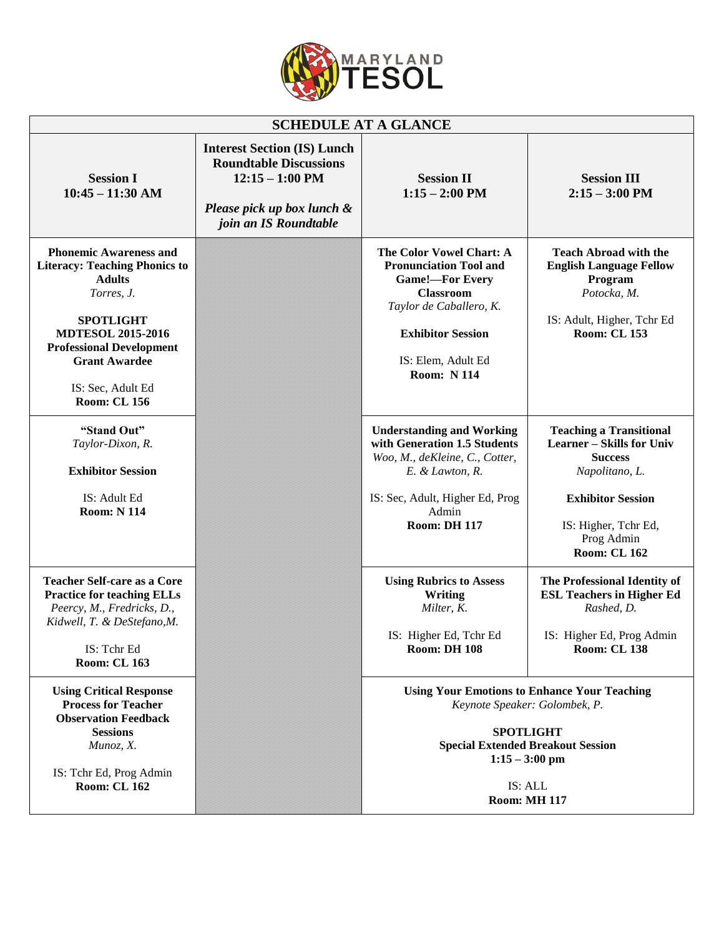

| <b>SCHEDULE AT A GLANCE</b>                                                                                                                                                                                                                                 |                                                                                                                                                 |                                                                                                                                                                                                            |                                                                                                                                                                                                 |  |  |
|-------------------------------------------------------------------------------------------------------------------------------------------------------------------------------------------------------------------------------------------------------------|-------------------------------------------------------------------------------------------------------------------------------------------------|------------------------------------------------------------------------------------------------------------------------------------------------------------------------------------------------------------|-------------------------------------------------------------------------------------------------------------------------------------------------------------------------------------------------|--|--|
| <b>Session I</b><br>$10:45 - 11:30$ AM                                                                                                                                                                                                                      | <b>Interest Section (IS) Lunch</b><br><b>Roundtable Discussions</b><br>$12:15 - 1:00$ PM<br>Please pick up box lunch &<br>join an IS Roundtable | <b>Session II</b><br>$1:15 - 2:00$ PM                                                                                                                                                                      | <b>Session III</b><br>$2:15 - 3:00$ PM                                                                                                                                                          |  |  |
| <b>Phonemic Awareness and</b><br><b>Literacy: Teaching Phonics to</b><br><b>Adults</b><br>Torres, J.<br><b>SPOTLIGHT</b><br><b>MDTESOL 2015-2016</b><br><b>Professional Development</b><br><b>Grant Awardee</b><br>IS: Sec, Adult Ed<br><b>Room: CL 156</b> |                                                                                                                                                 | The Color Vowel Chart: A<br><b>Pronunciation Tool and</b><br><b>Game!-For Every</b><br><b>Classroom</b><br>Taylor de Caballero, K.<br><b>Exhibitor Session</b><br>IS: Elem, Adult Ed<br><b>Room: N114</b>  | <b>Teach Abroad with the</b><br><b>English Language Fellow</b><br>Program<br>Potocka, M.<br>IS: Adult, Higher, Tchr Ed<br><b>Room: CL 153</b>                                                   |  |  |
| "Stand Out"<br>Taylor-Dixon, R.<br><b>Exhibitor Session</b><br>IS: Adult Ed<br><b>Room: N 114</b>                                                                                                                                                           |                                                                                                                                                 | <b>Understanding and Working</b><br>with Generation 1.5 Students<br>Woo, M., deKleine, C., Cotter,<br>E. & Lawton, R.<br>IS: Sec, Adult, Higher Ed, Prog<br>Admin<br><b>Room: DH 117</b>                   | <b>Teaching a Transitional</b><br><b>Learner – Skills for Univ</b><br><b>Success</b><br>Napolitano, L.<br><b>Exhibitor Session</b><br>IS: Higher, Tchr Ed,<br>Prog Admin<br><b>Room: CL 162</b> |  |  |
| <b>Teacher Self-care as a Core</b><br><b>Practice for teaching ELLs</b><br>Peercy, M., Fredricks, D.,<br>Kidwell, T. & DeStefano, M.<br>IS: Tchr Ed<br><b>Room: CL 163</b>                                                                                  |                                                                                                                                                 | <b>Using Rubrics to Assess</b><br><b>Writing</b><br>Milter, K.<br>IS: Higher Ed, Tchr Ed<br><b>Room: DH 108</b>                                                                                            | The Professional Identity of<br><b>ESL Teachers in Higher Ed</b><br>Rashed, D.<br>IS: Higher Ed, Prog Admin<br><b>Room: CL 138</b>                                                              |  |  |
| <b>Using Critical Response</b><br><b>Process for Teacher</b><br><b>Observation Feedback</b><br><b>Sessions</b><br>Munoz, X.<br>IS: Tchr Ed, Prog Admin<br><b>Room: CL 162</b>                                                                               |                                                                                                                                                 | <b>Using Your Emotions to Enhance Your Teaching</b><br>Keynote Speaker: Golombek, P.<br><b>SPOTLIGHT</b><br><b>Special Extended Breakout Session</b><br>$1:15 - 3:00$ pm<br>IS: ALL<br><b>Room: MH 117</b> |                                                                                                                                                                                                 |  |  |